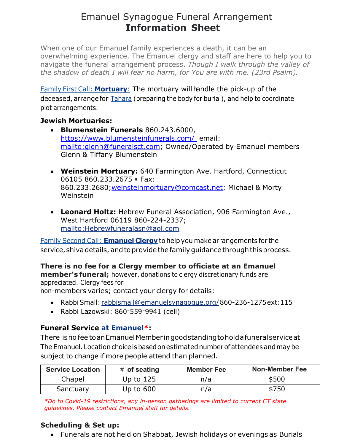## Emanuel Synagogue Funeral Arrangement **Information Sheet**

When one of our Emanuel family experiences a death, it can be an overwhelming experience. The Emanuel clergy and staff are here to help you to navigate the funeral arrangement process. *Though I walk through the valley of the shadow of death I will fear no harm, for You are with me. (23rd Psalm).*

Family First Call: **Mortuary**: The mortuary will handle the pick-up of the deceased, arrangefor Tahara (preparing the body for burial), and help to coordinate plot arrangements.

## **Jewish Mortuaries:**

- **Blumenstein Funerals** 860.243.6000, <https://www.blumensteinfunerals.com/>email: [mailto:glenn@funeralsct.com;](mailto:glenn@funeralsct.com) Owned/Operated by Emanuel members Glenn & Tiffany Blumenstein
- **Weinstein Mortuary:** 640 Farmington Ave. Hartford, Connecticut 06105 860.233.2675 • Fax: 860.233.2680[;weinsteinmortuary@comcast.net;](mailto:weinsteinmortuary@comcast.net) Michael & Morty Weinstein
- **Leonard Holtz:** Hebrew Funeral Association, 906 Farmington Ave., West Hartford 06119 860-224-2337; <mailto:Hebrewfuneralasn@aol.com>

Family Second Call: **Emanuel Clergy** to help you make arrangements for the service, shiva details, and to provide the family guidance through this process.

**There is no fee for a Clergy member to officiate at an Emanuel member's funeral;** however, donations to clergy discretionary funds are appreciated. Clergy fees for

non-members varies; contact your clergy for details:

- RabbiSmall: rabbismall@emanuelsynagogue.org/860-236-1275ext:115
- Rabbi Lazowski: 860-559-9941 (cell)

## **Funeral Service at Emanuel\*:**

There isno fee toanEmanuelMemberingoodstandingtoholdafuneralserviceat The Emanuel. Location choice is based on estimated number of attendees and may be subject to change if more people attend than planned.

| <b>Service Location</b> | $#$ of seating | <b>Member Fee</b> | <b>Non-Member Fee</b> |
|-------------------------|----------------|-------------------|-----------------------|
| Chapel                  | Up to $125$    | n/a               | \$500                 |
| Sanctuary               | Up to $600$    | n/a               | \$750                 |

*\*Do to Covid-19 restrictions, any in-person gatherings are limited to current CT state guidelines. Please contact Emanuel staff for details.*

## **Scheduling & Set up:**

• Funerals are not held on Shabbat, Jewish holidays or evenings as Burials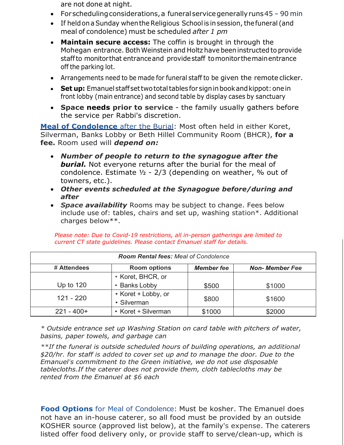are not done at night.

- Forscheduling considerations, a funeral service generally runs 45 90 min
- If held on a Sunday when the Religious School is in session, the funeral (and meal of condolence) must be scheduled *after 1 pm*
- **Maintain secure access:** The coffin is brought in through the Mohegan entrance. BothWeinstein and Holtz have beeninstructed to provide staffto monitor that entranceand providestaff tomonitorthemainentrance off the parking lot.
- Arrangements need to be made for funeral staff to be given the remote clicker.
- **Set up:** Emanuelstaffsettwototaltables for signinbookandkippot:onein front lobby (main entrance) and second table by display cases by sanctuary
- **Space needs prior to service**  the family usually gathers before the service per Rabbi's discretion.

**Meal of Condolence** after the Burial: Most often held in either Koret, Silverman, Banks Lobby or Beth Hillel Community Room (BHCR), **for a fee.** Room used will *depend on:*

- *Number of people to return to the synagogue after the burial.* Not everyone returns after the burial for the meal of condolence. Estimate  $1/2$  - 2/3 (depending on weather,  $\%$  out of towners, etc.).
- *Other events scheduled at the Synagogue before/during and after*
- *Space availability* Rooms may be subject to change. Fees below include use of: tables, chairs and set up, washing station\*. Additional charges below\*\*.

| <b>Room Rental fees: Meal of Condolence</b> |                                    |                   |                        |  |  |  |
|---------------------------------------------|------------------------------------|-------------------|------------------------|--|--|--|
| # Attendees                                 | <b>Room options</b>                | <b>Member fee</b> | <b>Non- Member Fee</b> |  |  |  |
|                                             | • Koret, BHCR, or                  |                   |                        |  |  |  |
| Up to $120$                                 | • Banks Lobby                      |                   | \$1000                 |  |  |  |
| 121 - 220                                   | • Koret + Lobby, or<br>• Silverman | \$800             | \$1600                 |  |  |  |
| $221 - 400+$                                | • Koret + Silverman                | \$1000            | \$2000                 |  |  |  |

*Please note: Due to Covid-19 restrictions, all in-person gatherings are limited to current CT state guidelines. Please contact Emanuel staff for details.*

*\* Outside entrance set up Washing Station on card table with pitchers of water, basins, paper towels, and garbage can*

*\*\*If the funeral is outside scheduled hours of building operations, an additional \$20/hr. for staff is added to cover set up and to manage the door. Due to the Emanuel's commitment to the Green initiative, we do not use disposable tablecloths.If the caterer does not provide them, cloth tablecloths may be rented from the Emanuel at \$6 each*

**Food Options** for Meal of Condolence: Must be kosher. The Emanuel does not have an in-house caterer, so all food must be provided by an outside KOSHER source (approved list below), at the family's expense. The caterers listed offer food delivery only, or provide staff to serve/clean-up, which is